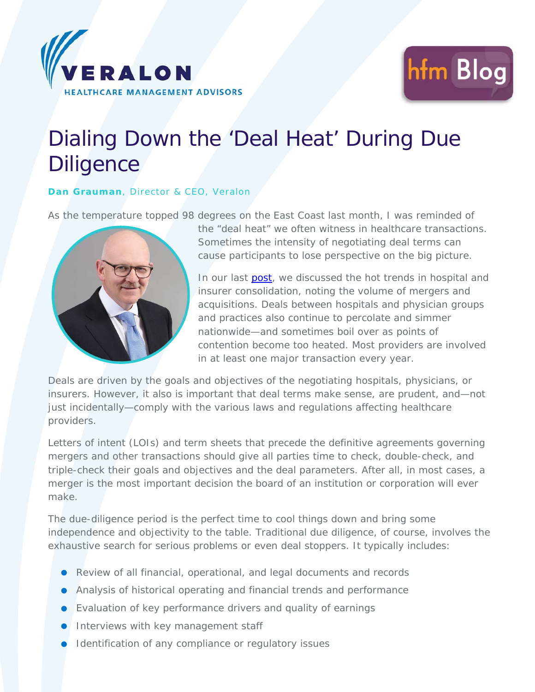



## Dialing Down the 'Deal Heat' During Due **Diligence**

## **Dan Grauman**, Director & CEO, Veralon

As the temperature topped 98 degrees on the East Coast last month, I was reminded of



the "deal heat" we often witness in healthcare transactions. Sometimes the intensity of negotiating deal terms can cause participants to lose perspective on the big picture.

In our last **post**, we discussed the hot trends in hospital and insurer consolidation, noting the volume of mergers and acquisitions. Deals between hospitals and physician groups and practices also continue to percolate and simmer nationwide—and sometimes boil over as points of contention become too heated. Most providers are involved in at least one major transaction every year.

Deals are driven by the goals and objectives of the negotiating hospitals, physicians, or insurers. However, it also is important that deal terms make sense, are prudent, and—not just incidentally—comply with the various laws and regulations affecting healthcare providers.

Letters of intent (LOIs) and term sheets that precede the definitive agreements governing mergers and other transactions should give all parties time to check, double-check, and triple-check their goals and objectives and the deal parameters. After all, in most cases, a merger is the most important decision the board of an institution or corporation will ever make.

The due-diligence period is the perfect time to cool things down and bring some independence and objectivity to the table. Traditional due diligence, of course, involves the exhaustive search for serious problems or even deal stoppers. It typically includes:

- Review of all financial, operational, and legal documents and records
- Analysis of historical operating and financial trends and performance
- Evaluation of key performance drivers and quality of earnings
- **Interviews with key management staff**
- **Identification of any compliance or regulatory issues**